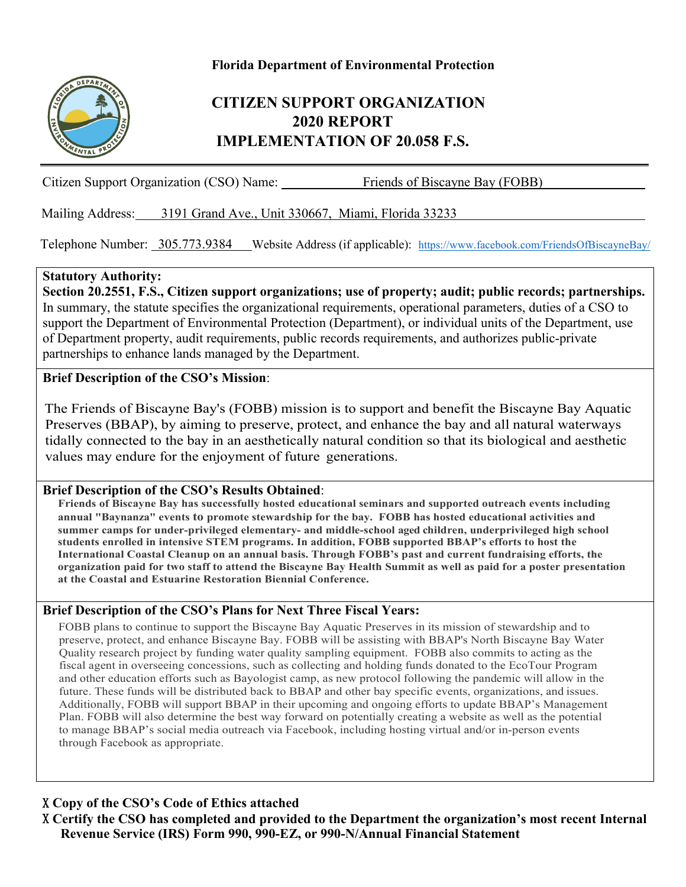#### **Florida Department of Environmental Protection**



### **CITIZEN SUPPORT ORGANIZATION 2020 REPORT IMPLEMENTATION OF 20.058 F.S.**

Citizen Support Organization (CSO) Name: Friends of Biscayne Bay (FOBB)

Mailing Address: 3191 Grand Ave., Unit 330667, Miami, Florida 33233

Telephone Number: 305.773.9384 Website Address (if applicable): <https://www.facebook.com/FriendsOfBiscayneBay/>

#### **Statutory Authority:**

**Section 20.2551, F.S., Citizen support organizations; use of property; audit; public records; partnerships.** In summary, the statute specifies the organizational requirements, operational parameters, duties of a CSO to support the Department of Environmental Protection (Department), or individual units of the Department, use of Department property, audit requirements, public records requirements, and authorizes public-private partnerships to enhance lands managed by the Department.

#### **Brief Description of the CSO's Mission**:

The Friends of Biscayne Bay's (FOBB) mission is to support and benefit the Biscayne Bay Aquatic Preserves (BBAP), by aiming to preserve, protect, and enhance the bay and all natural waterways tidally connected to the bay in an aesthetically natural condition so that its biological and aesthetic values may endure for the enjoyment of future generations.

#### **Brief Description of the CSO's Results Obtained**:

**Friends of Biscayne Bay has successfully hosted educational seminars and supported outreach events including annual "Baynanza" events to promote stewardship for the bay. FOBB has hosted educational activities and summer camps for under-privileged elementary- and middle-school aged children, underprivileged high school students enrolled in intensive STEM programs. In addition, FOBB supported BBAP's efforts to host the International Coastal Cleanup on an annual basis. Through FOBB's past and current fundraising efforts, the organization paid for two staff to attend the Biscayne Bay Health Summit as well as paid for a poster presentation at the Coastal and Estuarine Restoration Biennial Conference.** 

#### **Brief Description of the CSO's Plans for Next Three Fiscal Years:**

FOBB plans to continue to support the Biscayne Bay Aquatic Preserves in its mission of stewardship and to preserve, protect, and enhance Biscayne Bay. FOBB will be assisting with BBAP's North Biscayne Bay Water Quality research project by funding water quality sampling equipment. FOBB also commits to acting as the fiscal agent in overseeing concessions, such as collecting and holding funds donated to the EcoTour Program and other education efforts such as Bayologist camp, as new protocol following the pandemic will allow in the future. These funds will be distributed back to BBAP and other bay specific events, organizations, and issues. Additionally, FOBB will support BBAP in their upcoming and ongoing efforts to update BBAP's Management Plan. FOBB will also determine the best way forward on potentially creating a website as well as the potential to manage BBAP's social media outreach via Facebook, including hosting virtual and/or in-person events through Facebook as appropriate.

#### X **Copy of the CSO's Code of Ethics attached**

X **Certify the CSO has completed and provided to the Department the organization's most recent Internal Revenue Service (IRS) Form 990, 990-EZ, or 990-N/Annual Financial Statement**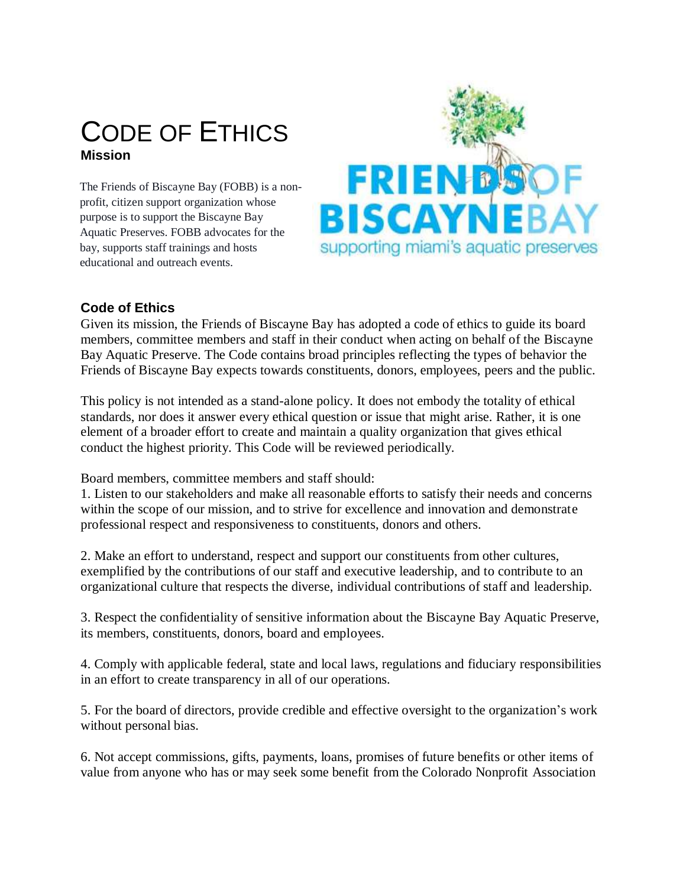## CODE OF ETHICS **Mission**

The Friends of Biscayne Bay (FOBB) is a nonprofit, citizen support organization whose purpose is to support the Biscayne Bay Aquatic Preserves. FOBB advocates for the bay, supports staff trainings and hosts educational and outreach events.



#### **Code of Ethics**

Given its mission, the Friends of Biscayne Bay has adopted a code of ethics to guide its board members, committee members and staff in their conduct when acting on behalf of the Biscayne Bay Aquatic Preserve. The Code contains broad principles reflecting the types of behavior the Friends of Biscayne Bay expects towards constituents, donors, employees, peers and the public.

This policy is not intended as a stand-alone policy. It does not embody the totality of ethical standards, nor does it answer every ethical question or issue that might arise. Rather, it is one element of a broader effort to create and maintain a quality organization that gives ethical conduct the highest priority. This Code will be reviewed periodically.

Board members, committee members and staff should:

1. Listen to our stakeholders and make all reasonable efforts to satisfy their needs and concerns within the scope of our mission, and to strive for excellence and innovation and demonstrate professional respect and responsiveness to constituents, donors and others.

2. Make an effort to understand, respect and support our constituents from other cultures, exemplified by the contributions of our staff and executive leadership, and to contribute to an organizational culture that respects the diverse, individual contributions of staff and leadership.

3. Respect the confidentiality of sensitive information about the Biscayne Bay Aquatic Preserve, its members, constituents, donors, board and employees.

4. Comply with applicable federal, state and local laws, regulations and fiduciary responsibilities in an effort to create transparency in all of our operations.

5. For the board of directors, provide credible and effective oversight to the organization's work without personal bias.

6. Not accept commissions, gifts, payments, loans, promises of future benefits or other items of value from anyone who has or may seek some benefit from the Colorado Nonprofit Association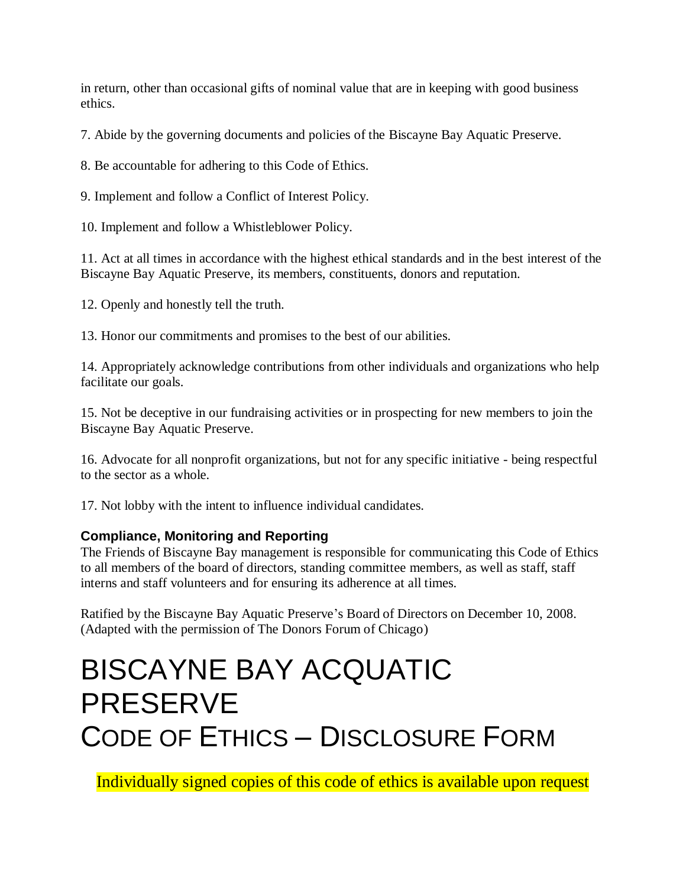in return, other than occasional gifts of nominal value that are in keeping with good business ethics.

7. Abide by the governing documents and policies of the Biscayne Bay Aquatic Preserve.

8. Be accountable for adhering to this Code of Ethics.

9. Implement and follow a Conflict of Interest Policy.

10. Implement and follow a Whistleblower Policy.

11. Act at all times in accordance with the highest ethical standards and in the best interest of the Biscayne Bay Aquatic Preserve, its members, constituents, donors and reputation.

12. Openly and honestly tell the truth.

13. Honor our commitments and promises to the best of our abilities.

14. Appropriately acknowledge contributions from other individuals and organizations who help facilitate our goals.

15. Not be deceptive in our fundraising activities or in prospecting for new members to join the Biscayne Bay Aquatic Preserve.

16. Advocate for all nonprofit organizations, but not for any specific initiative - being respectful to the sector as a whole.

17. Not lobby with the intent to influence individual candidates.

#### **Compliance, Monitoring and Reporting**

The Friends of Biscayne Bay management is responsible for communicating this Code of Ethics to all members of the board of directors, standing committee members, as well as staff, staff interns and staff volunteers and for ensuring its adherence at all times.

Ratified by the Biscayne Bay Aquatic Preserve's Board of Directors on December 10, 2008. (Adapted with the permission of The Donors Forum of Chicago)

# BISCAYNE BAY ACQUATIC PRESERVE CODE OF ETHICS – DISCLOSURE FORM

Individually signed copies of this code of ethics is available upon request